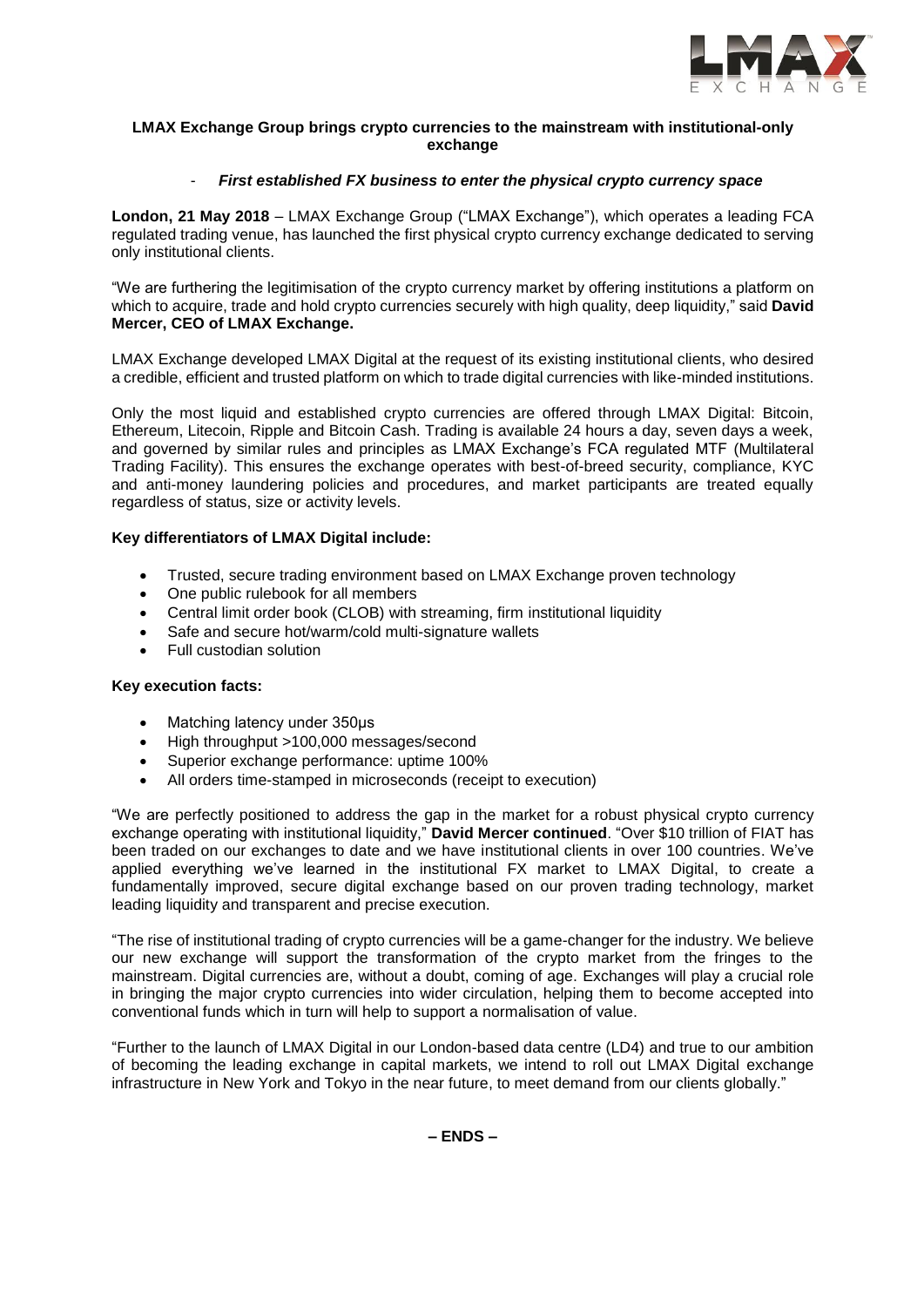

## **LMAX Exchange Group brings crypto currencies to the mainstream with institutional-only exchange**

# - *First established FX business to enter the physical crypto currency space*

**London, 21 May 2018** – LMAX Exchange Group ("LMAX Exchange"), which operates a leading FCA regulated trading venue, has launched the first physical crypto currency exchange dedicated to serving only institutional clients.

"We are furthering the legitimisation of the crypto currency market by offering institutions a platform on which to acquire, trade and hold crypto currencies securely with high quality, deep liquidity," said **David Mercer, CEO of LMAX Exchange.**

LMAX Exchange developed LMAX Digital at the request of its existing institutional clients, who desired a credible, efficient and trusted platform on which to trade digital currencies with like-minded institutions.

Only the most liquid and established crypto currencies are offered through LMAX Digital: Bitcoin, Ethereum, Litecoin, Ripple and Bitcoin Cash. Trading is available 24 hours a day, seven days a week, and governed by similar rules and principles as LMAX Exchange's FCA regulated MTF (Multilateral Trading Facility). This ensures the exchange operates with best-of-breed security, compliance, KYC and anti-money laundering policies and procedures, and market participants are treated equally regardless of status, size or activity levels.

# **Key differentiators of LMAX Digital include:**

- Trusted, secure trading environment based on LMAX Exchange proven technology
- One public rulebook for all members
- Central limit order book (CLOB) with streaming, firm institutional liquidity
- Safe and secure hot/warm/cold multi-signature wallets
- Full custodian solution

### **Key execution facts:**

- Matching latency under 350us
- High throughput >100,000 messages/second
- Superior exchange performance: uptime 100%
- All orders time-stamped in microseconds (receipt to execution)

"We are perfectly positioned to address the gap in the market for a robust physical crypto currency exchange operating with institutional liquidity," **David Mercer continued**. "Over \$10 trillion of FIAT has been traded on our exchanges to date and we have institutional clients in over 100 countries. We've applied everything we've learned in the institutional FX market to LMAX Digital, to create a fundamentally improved, secure digital exchange based on our proven trading technology, market leading liquidity and transparent and precise execution.

"The rise of institutional trading of crypto currencies will be a game-changer for the industry. We believe our new exchange will support the transformation of the crypto market from the fringes to the mainstream. Digital currencies are, without a doubt, coming of age. Exchanges will play a crucial role in bringing the major crypto currencies into wider circulation, helping them to become accepted into conventional funds which in turn will help to support a normalisation of value.

"Further to the launch of LMAX Digital in our London-based data centre (LD4) and true to our ambition of becoming the leading exchange in capital markets, we intend to roll out LMAX Digital exchange infrastructure in New York and Tokyo in the near future, to meet demand from our clients globally."

**– ENDS –**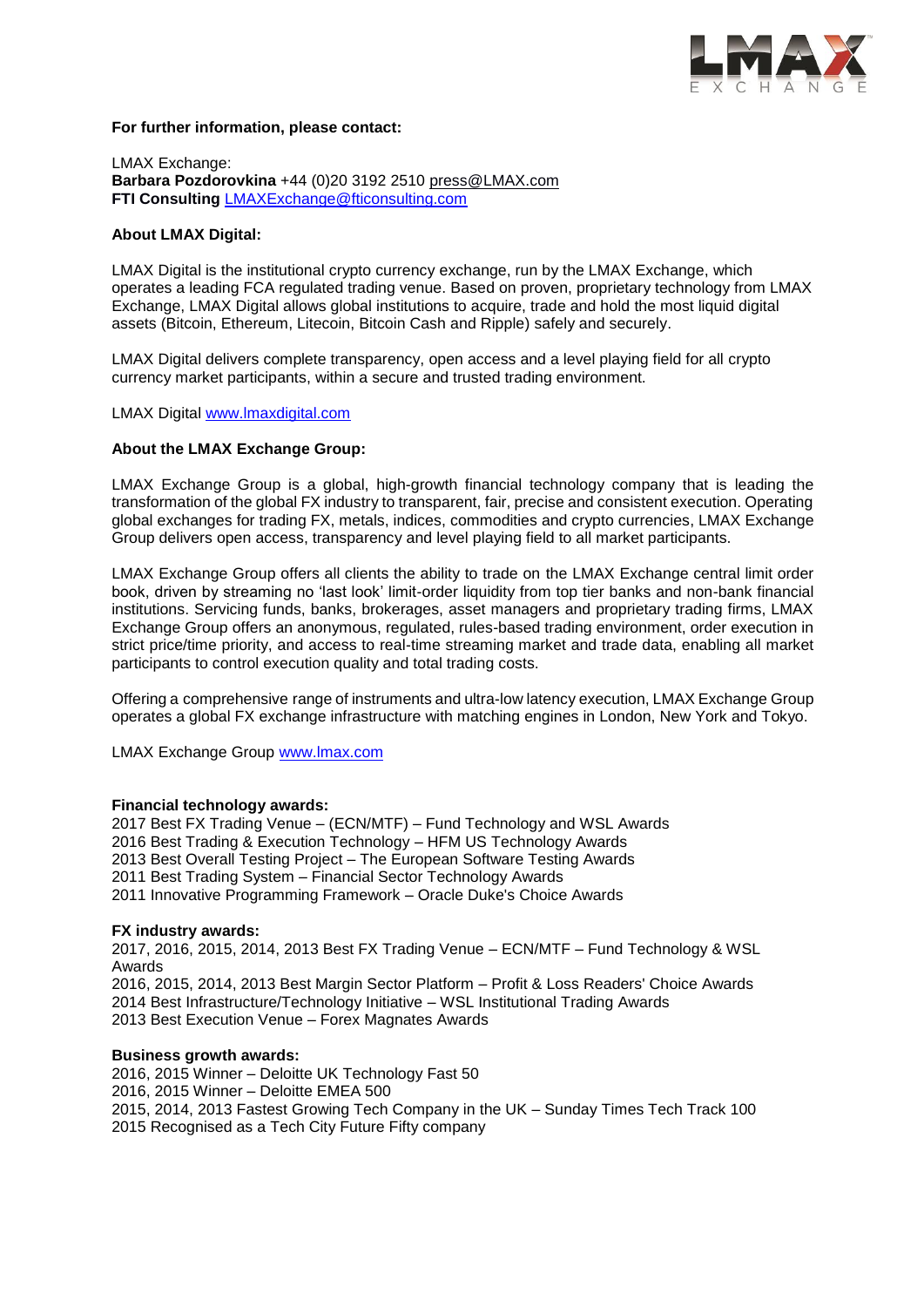

### **For further information, please contact:**

LMAX Exchange: **Barbara Pozdorovkina** +44 (0)20 3192 2510 [press@LMAX.com](mailto:press@LMAX.com) **FTI Consulting** [LMAXExchange@fticonsulting.com](mailto:LMAXExchange@fticonsulting.com)

### **About LMAX Digital:**

LMAX Digital is the institutional crypto currency exchange, run by the LMAX Exchange, which operates a leading FCA regulated trading venue. Based on proven, proprietary technology from LMAX Exchange, LMAX Digital allows global institutions to acquire, trade and hold the most liquid digital assets (Bitcoin, Ethereum, Litecoin, Bitcoin Cash and Ripple) safely and securely.

LMAX Digital delivers complete transparency, open access and a level playing field for all crypto currency market participants, within a secure and trusted trading environment.

LMAX Digital [www.lmaxdigital.com](http://www.lmaxdigital.com/)

### **About the LMAX Exchange Group:**

LMAX Exchange Group is a global, high-growth financial technology company that is leading the transformation of the global FX industry to transparent, fair, precise and consistent execution. Operating global exchanges for trading FX, metals, indices, commodities and crypto currencies, LMAX Exchange Group delivers open access, transparency and level playing field to all market participants.

LMAX Exchange Group offers all clients the ability to trade on the LMAX Exchange central limit order book, driven by streaming no 'last look' limit-order liquidity from top tier banks and non-bank financial institutions. Servicing funds, banks, brokerages, asset managers and proprietary trading firms, LMAX Exchange Group offers an anonymous, regulated, rules-based trading environment, order execution in strict price/time priority, and access to real-time streaming market and trade data, enabling all market participants to control execution quality and total trading costs.

Offering a comprehensive range of instruments and ultra-low latency execution, LMAX Exchange Group operates a global FX exchange infrastructure with matching engines in London, New York and Tokyo.

LMAX Exchange Group [www.lmax.com](http://www.lmax.com/)

#### **Financial technology awards:**

2017 Best FX Trading Venue – (ECN/MTF) – Fund Technology and WSL Awards 2016 Best Trading & Execution Technology – HFM US Technology Awards 2013 Best Overall Testing Project – The European Software Testing Awards 2011 Best Trading System – Financial Sector Technology Awards 2011 Innovative Programming Framework – Oracle Duke's Choice Awards

#### **FX industry awards:**

2017, 2016, 2015, 2014, 2013 Best FX Trading Venue – ECN/MTF – Fund Technology & WSL Awards 2016, 2015, 2014, 2013 Best Margin Sector Platform – Profit & Loss Readers' Choice Awards 2014 Best Infrastructure/Technology Initiative – WSL Institutional Trading Awards 2013 Best Execution Venue – Forex Magnates Awards

#### **Business growth awards:**

2016, 2015 Winner – Deloitte UK Technology Fast 50 2016, 2015 Winner – Deloitte EMEA 500 2015, 2014, 2013 Fastest Growing Tech Company in the UK – Sunday Times Tech Track 100 2015 Recognised as a Tech City Future Fifty company